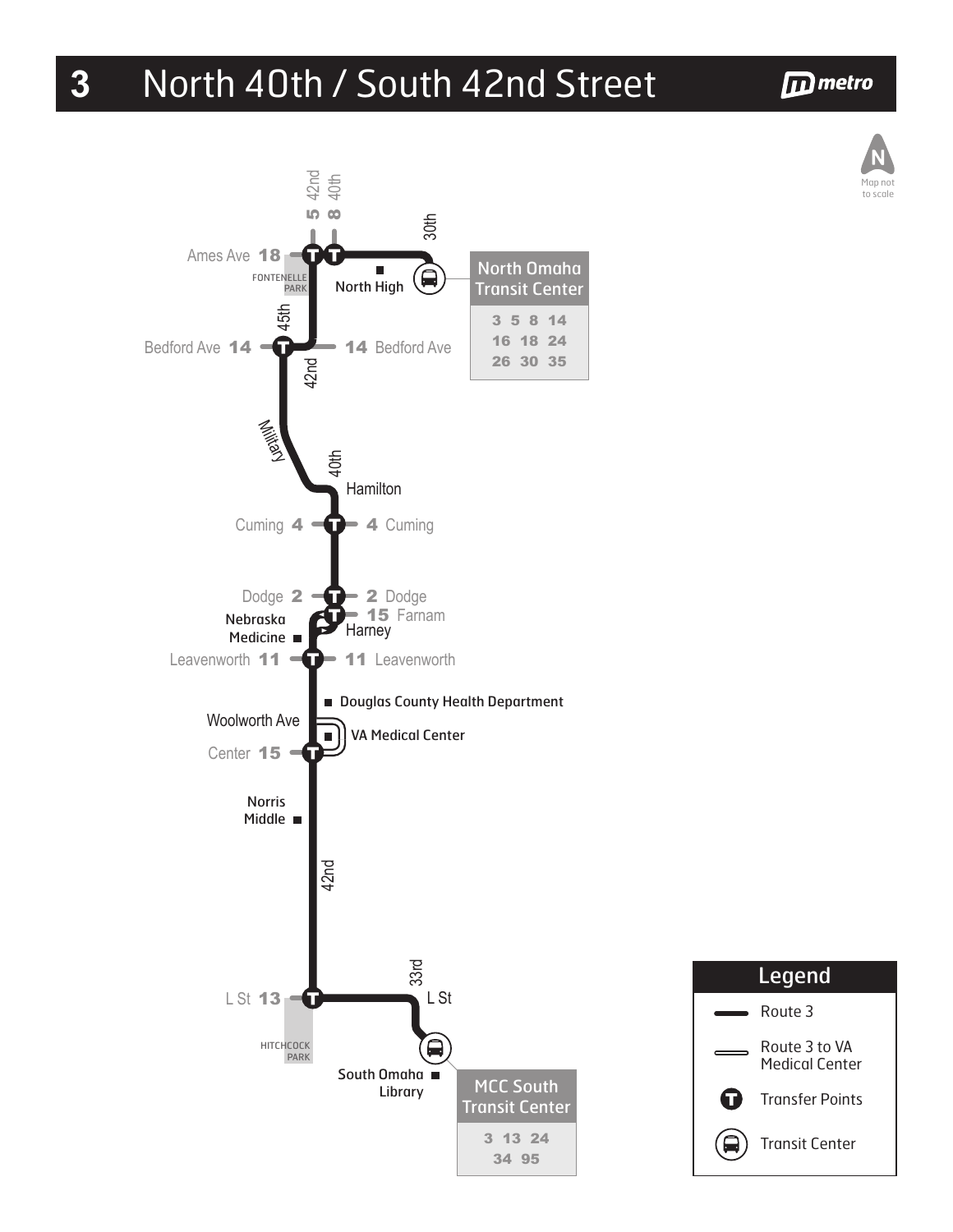## **3** North 40th / South 42nd Street

## **D** metro





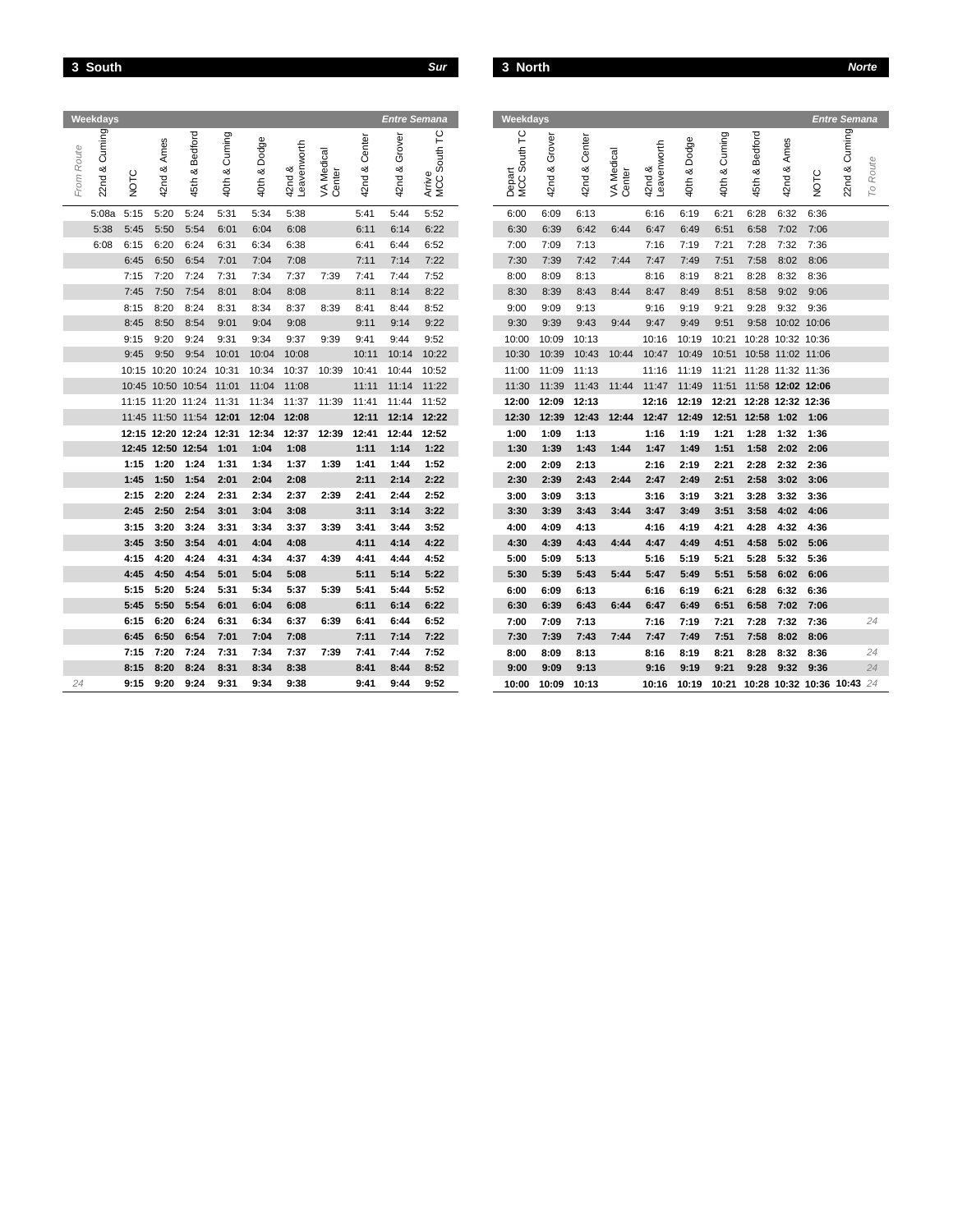|  |  |  |  | ٠ |
|--|--|--|--|---|
|--|--|--|--|---|

|            | Weekdays           |              |                    |                         |                     |                 |                       |                  |                  | Entre Semana        |                                                       | Weekdays               |                  |                  |                   |                       |                    |                         |                         |                   |              | <b>Entre Semana</b>        |          |
|------------|--------------------|--------------|--------------------|-------------------------|---------------------|-----------------|-----------------------|------------------|------------------|---------------------|-------------------------------------------------------|------------------------|------------------|------------------|-------------------|-----------------------|--------------------|-------------------------|-------------------------|-------------------|--------------|----------------------------|----------|
| From Route | Cuming<br>$22nd$ & | NOTC         | w<br>Ame<br>42nd & | Bedford<br>45th &       | Cuming<br>య<br>40th | Dodge<br>40th & | Leavenworth<br>42nd & | Medical<br>VA Me | Center<br>42nd & | Grover<br>య<br>42nd | Ľ<br>South <sup>-</sup><br>Arrive<br>MCC <sub>5</sub> | Depart<br>MCC South TC | Grover<br>42nd & | Center<br>42nd & | Medical<br>VA Mer | Leavenworth<br>42nd & | Dodge<br>య<br>40th | Cuming<br>య<br>40th     | Bedford<br>య<br>45th    | Ames<br>య<br>42nd | NOTC         | Cuming<br>22nd &           | To Route |
|            | 5:08a              | 5:15         | 5:20               | 5:24                    | 5:31                | 5:34            | 5:38                  |                  | 5:41             | 5:44                | 5:52                                                  | 6:00                   | 6:09             | 6:13             |                   | 6:16                  | 6:19               | 6:21                    | 6:28                    | 6:32              | 6:36         |                            |          |
|            | 5:38               | 5:45         | 5:50               | 5:54                    | 6:01                | 6:04            | 6:08                  |                  | 6:11             | 6:14                | 6:22                                                  | 6:30                   | 6:39             | 6:42             | 6:44              | 6:47                  | 6:49               | 6:51                    | 6:58                    | 7:02              | 7:06         |                            |          |
|            | 6:08               | 6:15         | 6:20               | 6:24                    | 6:31                | 6:34            | 6:38                  |                  | 6:41             | 6:44                | 6:52                                                  | 7:00                   | 7:09             | 7:13             |                   | 7:16                  | 7:19               | 7:21                    | 7:28                    | 7:32              | 7:36         |                            |          |
|            |                    | 6:45         | 6:50               | 6:54                    | 7:01                | 7:04            | 7:08                  |                  | 7:11             | 7:14                | 7:22                                                  | 7:30                   | 7:39             | 7:42             | 7:44              | 7:47                  | 7:49               | 7:51                    | 7:58                    | 8:02              | 8:06         |                            |          |
|            |                    | 7:15         | 7:20               | 7:24                    | 7:31                | 7:34            | 7:37                  | 7:39             | 7:41             | 7:44                | 7:52                                                  | 8:00                   | 8:09             | 8:13             |                   | 8:16                  | 8:19               | 8:21                    | 8:28                    | 8:32              | 8:36         |                            |          |
|            |                    | 7:45         | 7:50               | 7:54                    | 8:01                | 8:04            | 8:08                  |                  | 8:11             | 8:14                | 8:22                                                  | 8:30                   | 8:39             | 8:43             | 8:44              | 8:47                  | 8:49               | 8:51                    | 8:58                    | 9:02              | 9:06         |                            |          |
|            |                    | 8:15         | 8:20               | 8:24                    | 8:31                | 8:34            | 8:37                  | 8:39             | 8:41             | 8:44                | 8:52                                                  | 9:00                   | 9:09             | 9:13             |                   | 9:16                  | 9:19               | 9:21                    | 9:28                    | 9:32              | 9:36         |                            |          |
|            |                    | 8:45         | 8:50               | 8:54                    | 9:01                | 9:04            | 9:08                  |                  | 9:11             | 9:14                | 9:22                                                  | 9:30                   | 9:39             | 9:43             | 9:44              | 9:47                  | 9:49               | 9:51                    | 9:58                    | 10:02 10:06       |              |                            |          |
|            |                    | 9:15         | 9:20               | 9:24                    | 9:31                | 9:34            | 9:37                  | 9:39             | 9:41             | 9:44                | 9:52                                                  | 10:00                  | 10:09            | 10:13            |                   | 10:16                 | 10:19              | 10:21                   |                         | 10:28 10:32 10:36 |              |                            |          |
|            |                    | 9:45         | 9:50               | 9:54                    | 10:01               | 10:04           | 10:08                 |                  | 10:11            | 10:14               | 10:22                                                 | 10:30                  | 10:39            | 10:43            | 10:44             | 10:47                 | 10:49              |                         | 10:51 10:58 11:02 11:06 |                   |              |                            |          |
|            |                    |              |                    | 10:15 10:20 10:24 10:31 |                     | 10:34           | 10:37                 | 10:39            | 10:41            | 10:44               | 10:52                                                 | 11:00                  | 11:09            | 11:13            |                   | 11:16                 | 11:19              | 11:21                   | 11:28 11:32 11:36       |                   |              |                            |          |
|            |                    |              |                    | 10:45 10:50 10:54 11:01 |                     | 11:04           | 11:08                 |                  | 11:11            | 11:14               | 11:22                                                 | 11:30                  | 11:39            | 11:43            | 11:44             | 11:47                 | 11:49              | 11:51 11:58 12:02 12:06 |                         |                   |              |                            |          |
|            |                    |              |                    | 11:15 11:20 11:24 11:31 |                     | 11:34           | 11:37                 | 11:39            | 11:41            | 11:44               | 11:52                                                 | 12:00                  | 12:09            | 12:13            |                   | 12:16                 | 12:19              | 12:21 12:28 12:32 12:36 |                         |                   |              |                            |          |
|            |                    |              |                    | 11:45 11:50 11:54 12:01 |                     | 12:04           | 12:08                 |                  | 12:11            | 12:14               | 12:22                                                 | 12:30                  | 12:39            | 12:43            | 12:44             | 12:47                 | 12:49              |                         | 12:51 12:58 1:02        |                   | 1:06         |                            |          |
|            |                    |              |                    | 12:15 12:20 12:24 12:31 |                     | 12:34           | 12:37                 | 12:39            | 12:41            | 12:44               | 12:52                                                 | 1:00                   | 1:09             | 1:13             |                   | 1:16                  | 1:19               | 1:21                    | 1:28                    | 1:32              | 1:36         |                            |          |
|            |                    |              |                    | 12:45 12:50 12:54       | 1:01                | 1:04            | 1:08                  |                  | 1:11             | 1:14                | 1:22                                                  | 1:30                   | 1:39             | 1:43             | 1:44              | 1:47                  | 1:49               | 1:51                    | 1:58                    | 2:02              | 2:06         |                            |          |
|            |                    | 1:15         | 1:20               | 1:24                    | 1:31                | 1:34            | 1:37                  | 1:39             | 1:41             | 1:44                | 1:52                                                  | 2:00                   | 2:09             | 2:13             |                   | 2:16                  | 2:19               | 2:21                    | 2:28                    | 2:32              | 2:36         |                            |          |
|            |                    | 1:45         | 1:50               | 1:54                    | 2:01                | 2:04            | 2:08                  |                  | 2:11             | 2:14                | 2:22                                                  | 2:30                   | 2:39             | 2:43             | 2:44              | 2:47                  | 2:49               | 2:51                    | 2:58                    | 3:02              | 3:06         |                            |          |
|            |                    | 2:15         | 2:20               | 2:24                    | 2:31                | 2:34            | 2:37                  | 2:39             | 2:41             | 2:44                | 2:52                                                  | 3:00                   | 3:09             | 3:13             |                   | 3:16                  | 3:19               | 3:21                    | 3:28                    | 3:32              | 3:36         |                            |          |
|            |                    | 2:45         | 2:50               | 2:54                    | 3:01                | 3:04            | 3:08                  |                  | 3:11             | 3:14                | 3:22                                                  | 3:30                   | 3:39             | 3:43             | 3:44              | 3:47                  | 3:49               | 3:51                    | 3:58                    | 4:02              | 4:06         |                            |          |
|            |                    | 3:15         | 3:20               | 3:24                    | 3:31                | 3:34            | 3:37                  | 3:39             | 3:41             | 3:44                | 3:52                                                  | 4:00                   | 4:09             | 4:13             |                   | 4:16                  | 4:19               | 4:21                    | 4:28                    | 4:32              | 4:36         |                            |          |
|            |                    | 3:45         | 3:50               | 3:54                    | 4:01                | 4:04            | 4:08                  |                  | 4:11             | 4:14                | 4:22<br>4:52                                          | 4:30                   | 4:39             | 4:43             | 4:44              | 4:47                  | 4:49               | 4:51                    | 4:58                    | 5:02              | 5:06         |                            |          |
|            |                    | 4:15         | 4:20               | 4:24                    | 4:31                | 4:34            | 4:37<br>5:08          | 4:39             | 4:41             | 4:44                | 5:22                                                  | 5:00                   | 5:09<br>5:39     | 5:13<br>5:43     | 5:44              | 5:16<br>5:47          | 5:19               | 5:21<br>5:51            | 5:28                    | 5:32<br>6:02      | 5:36         |                            |          |
|            |                    | 4:45<br>5:15 | 4:50<br>5:20       | 4:54                    | 5:01                | 5:04<br>5:34    | 5:37                  | 5:39             | 5:11<br>5:41     | 5:14<br>5:44        | 5:52                                                  | 5:30                   |                  |                  |                   |                       | 5:49               |                         | 5:58                    |                   | 6:06         |                            |          |
|            |                    | 5:45         | 5:50               | 5:24<br>5:54            | 5:31<br>6:01        | 6:04            | 6:08                  |                  | 6:11             | 6:14                | 6:22                                                  | 6:00<br>6:30           | 6:09<br>6:39     | 6:13<br>6:43     | 6:44              | 6:16<br>6:47          | 6:19<br>6:49       | 6:21<br>6:51            | 6:28<br>6:58            | 6:32<br>7:02      | 6:36<br>7:06 |                            |          |
|            |                    | 6:15         | 6:20               | 6:24                    | 6:31                | 6:34            | 6:37                  | 6:39             | 6:41             | 6:44                | 6:52                                                  |                        | 7:09             |                  |                   | 7:16                  | 7:19               |                         | 7:28                    |                   | 7:36         |                            | 24       |
|            |                    | 6:45         | 6:50               | 6:54                    | 7:01                | 7:04            | 7:08                  |                  | 7:11             | 7:14                | 7:22                                                  | 7:00<br>7:30           | 7:39             | 7:13<br>7:43     | 7:44              | 7:47                  | 7:49               | 7:21<br>7:51            | 7:58                    | 7:32<br>8:02      | 8:06         |                            |          |
|            |                    | 7:15         | 7:20               | 7:24                    | 7:31                | 7:34            | 7:37                  | 7:39             | 7:41             | 7:44                | 7:52                                                  | 8:00                   | 8:09             | 8:13             |                   | 8:16                  | 8:19               | 8:21                    | 8:28                    | 8:32              | 8:36         |                            | 24       |
|            |                    | 8:15         | 8:20               | 8:24                    | 8:31                | 8:34            | 8:38                  |                  | 8:41             | 8:44                | 8:52                                                  | 9:00                   | 9:09             | 9:13             |                   | 9:16                  | 9:19               | 9:21                    | 9:28                    | 9:32              | 9:36         |                            | 24       |
| 24         |                    | 9:15         | 9:20               | 9:24                    | 9:31                | 9:34            | 9:38                  |                  | 9:41             | 9:44                | 9:52                                                  | 10:00                  | 10:09            | 10:13            |                   | 10:16                 | 10:19              | 10:21                   |                         |                   |              | 10:28 10:32 10:36 10:43 24 |          |
|            |                    |              |                    |                         |                     |                 |                       |                  |                  |                     |                                                       |                        |                  |                  |                   |                       |                    |                         |                         |                   |              |                            |          |

|      |                   |                         |                     |              |                          |                      |                  | <b>Entre Semana</b> |                               | Weekdays                                 |                  |               |                      |                          |                 |                  |                         |                   |                            | <b>Entre Semana</b> |          |
|------|-------------------|-------------------------|---------------------|--------------|--------------------------|----------------------|------------------|---------------------|-------------------------------|------------------------------------------|------------------|---------------|----------------------|--------------------------|-----------------|------------------|-------------------------|-------------------|----------------------------|---------------------|----------|
| NOTC | 42nd & Ames       | Bedford<br>త<br>45th    | Cuming<br>య<br>40th | 40th & Dodge | Leavenworth<br>య<br>42nd | VA Medical<br>Center | Center<br>42nd & | Grover<br>42nd &    | Ľ<br>South<br>Arrive<br>MCC S | South TC<br>Depart<br>MCC S <sub>9</sub> | Grover<br>42nd & | 42nd & Center | VA Medical<br>Center | Leavenworth<br>య<br>42nd | & Dodge<br>40th | Cuming<br>40th & | 45th & Bedford          | Ames<br>42nd &    | NOTC                       | Cuming<br>$22nd$ &  | To Route |
| 5:15 | 5:20              | 5:24                    | 5:31                | 5:34         | 5:38                     |                      | 5:41             | 5:44                | 5:52                          | 6:00                                     | 6:09             | 6:13          |                      | 6:16                     | 6:19            | 6:21             | 6:28                    | 6:32              | 6:36                       |                     |          |
| 5:45 | 5:50              | 5:54                    | 6:01                | 6:04         | 6:08                     |                      | 6:11             | 6:14                | 6:22                          | 6:30                                     | 6:39             | 6:42          | 6:44                 | 6:47                     | 6:49            | 6:51             | 6:58                    | 7:02              | 7:06                       |                     |          |
| 6:15 | 6:20              | 6:24                    | 6:31                | 6:34         | 6:38                     |                      | 6:41             | 6:44                | 6:52                          | 7:00                                     | 7:09             | 7:13          |                      | 7:16                     | 7:19            | 7:21             | 7:28                    | 7:32              | 7:36                       |                     |          |
| 6:45 | 6:50              | 6:54                    | 7:01                | 7:04         | 7:08                     |                      | 7:11             | 7:14                | 7:22                          | 7:30                                     | 7:39             | 7:42          | 7:44                 | 7:47                     | 7:49            | 7:51             | 7:58                    | 8:02              | 8:06                       |                     |          |
| 7:15 | 7:20              | 7:24                    | 7:31                | 7:34         | 7:37                     | 7:39                 | 7:41             | 7:44                | 7:52                          | 8:00                                     | 8:09             | 8:13          |                      | 8:16                     | 8:19            | 8:21             | 8:28                    | 8:32              | 8:36                       |                     |          |
| 7:45 | 7:50              | 7:54                    | 8:01                | 8:04         | 8:08                     |                      | 8:11             | 8:14                | 8:22                          | 8:30                                     | 8:39             | 8:43          | 8:44                 | 8:47                     | 8:49            | 8:51             | 8:58                    | 9:02              | 9:06                       |                     |          |
| 8:15 | 8:20              | 8:24                    | 8:31                | 8:34         | 8:37                     | 8:39                 | 8:41             | 8:44                | 8:52                          | 9:00                                     | 9:09             | 9:13          |                      | 9:16                     | 9:19            | 9:21             | 9:28                    | 9:32              | 9:36                       |                     |          |
| 8:45 | 8:50              | 8:54                    | 9:01                | 9:04         | 9:08                     |                      | 9:11             | 9:14                | 9:22                          | 9:30                                     | 9:39             | 9:43          | 9:44                 | 9:47                     | 9:49            | 9:51             | 9:58                    | 10:02 10:06       |                            |                     |          |
| 9:15 | 9:20              | 9:24                    | 9:31                | 9:34         | 9:37                     | 9:39                 | 9:41             | 9:44                | 9:52                          | 10:00                                    | 10:09            | 10:13         |                      | 10:16                    | 10:19           | 10:21            |                         | 10:28 10:32 10:36 |                            |                     |          |
| 9:45 | 9:50              | 9:54                    | 10:01               | 10:04        | 10:08                    |                      | 10:11            | 10:14               | 10:22                         | 10:30                                    | 10:39            | 10:43         | 10:44                | 10:47                    | 10:49           | 10:51            |                         | 10:58 11:02 11:06 |                            |                     |          |
|      | 0:15 10:20 10:24  |                         | 10:31               | 10:34        | 10:37                    | 10:39                | 10:41            | 10:44               | 10:52                         | 11:00                                    | 11:09            | 11:13         |                      | 11:16                    | 11:19           |                  | 11:21 11:28 11:32 11:36 |                   |                            |                     |          |
|      |                   | 10:45 10:50 10:54       | 11:01               | 11:04        | 11:08                    |                      | 11:11            | 11:14               | 11:22                         | 11:30                                    | 11:39            | 11:43         | 11:44                | 11:47 11:49              |                 |                  | 11:51 11:58 12:02 12:06 |                   |                            |                     |          |
|      |                   | 11:15 11:20 11:24 11:31 |                     | 11:34        | 11:37                    | 11:39                | 11:41            | 11:44               | 11:52                         | 12:00                                    | 12:09            | 12:13         |                      | 12:16                    | 12:19           |                  | 12:21 12:28 12:32 12:36 |                   |                            |                     |          |
|      |                   | 11:45 11:50 11:54 12:01 |                     | 12:04        | 12:08                    |                      | 12:11            | 12:14               | 12:22                         | 12:30                                    | 12:39            | 12:43         | 12:44                | 12:47                    | 12:49           |                  | 12:51 12:58 1:02        |                   | 1:06                       |                     |          |
|      |                   | 12:15 12:20 12:24 12:31 |                     | 12:34        | 12:37                    | 12:39                | 12:41            | 12:44               | 12:52                         | 1:00                                     | 1:09             | 1:13          |                      | 1:16                     | 1:19            | 1:21             | 1:28                    | 1:32              | 1:36                       |                     |          |
|      | 12:45 12:50 12:54 |                         | 1:01                | 1:04         | 1:08                     |                      | 1:11             | 1:14                | 1:22                          | 1:30                                     | 1:39             | 1:43          | 1:44                 | 1:47                     | 1:49            | 1:51             | 1:58                    | 2:02              | 2:06                       |                     |          |
| 1:15 | 1:20              | 1:24                    | 1:31                | 1:34         | 1:37                     | 1:39                 | 1:41             | 1:44                | 1:52                          | 2:00                                     | 2:09             | 2:13          |                      | 2:16                     | 2:19            | 2:21             | 2:28                    | 2:32              | 2:36                       |                     |          |
| 1:45 | 1:50              | 1:54                    | 2:01                | 2:04         | 2:08                     |                      | 2:11             | 2:14                | 2:22                          | 2:30                                     | 2:39             | 2:43          | 2:44                 | 2:47                     | 2:49            | 2:51             | 2:58                    | 3:02              | 3:06                       |                     |          |
| 2:15 | 2:20              | 2:24                    | 2:31                | 2:34         | 2:37                     | 2:39                 | 2:41             | 2:44                | 2:52                          | 3:00                                     | 3:09             | 3:13          |                      | 3:16                     | 3:19            | 3:21             | 3:28                    | 3:32              | 3:36                       |                     |          |
| 2:45 | 2:50              | 2:54                    | 3:01                | 3:04         | 3:08                     |                      | 3:11             | 3:14                | 3:22                          | 3:30                                     | 3:39             | 3:43          | 3:44                 | 3:47                     | 3:49            | 3:51             | 3:58                    | 4:02              | 4:06                       |                     |          |
| 3:15 | 3:20              | 3:24                    | 3:31                | 3:34         | 3:37                     | 3:39                 | 3:41             | 3:44                | 3:52                          | 4:00                                     | 4:09             | 4:13          |                      | 4:16                     | 4:19            | 4:21             | 4:28                    | 4:32              | 4:36                       |                     |          |
| 3:45 | 3:50              | 3:54                    | 4:01                | 4:04         | 4:08                     |                      | 4:11             | 4:14                | 4:22                          | 4:30                                     | 4:39             | 4:43          | 4:44                 | 4:47                     | 4:49            | 4:51             | 4:58                    | 5:02              | 5:06                       |                     |          |
| 4:15 | 4:20              | 4:24                    | 4:31                | 4:34         | 4:37                     | 4:39                 | 4:41             | 4:44                | 4:52                          | 5:00                                     | 5:09             | 5:13          |                      | 5:16                     | 5:19            | 5:21             | 5:28                    | 5:32              | 5:36                       |                     |          |
| 4:45 | 4:50              | 4:54                    | 5:01                | 5:04         | 5:08                     |                      | 5:11             | 5:14                | 5:22                          | 5:30                                     | 5:39             | 5:43          | 5:44                 | 5:47                     | 5:49            | 5:51             | 5:58                    | 6:02              | 6:06                       |                     |          |
| 5:15 | 5:20              | 5:24                    | 5:31                | 5:34         | 5:37                     | 5:39                 | 5:41             | 5:44                | 5:52                          | 6:00                                     | 6:09             | 6:13          |                      | 6:16                     | 6:19            | 6:21             | 6:28                    | 6:32              | 6:36                       |                     |          |
| 5:45 | 5:50              | 5:54                    | 6:01                | 6:04         | 6:08                     |                      | 6:11             | 6:14                | 6:22                          | 6:30                                     | 6:39             | 6:43          | 6:44                 | 6:47                     | 6:49            | 6:51             | 6:58                    | 7:02              | 7:06                       |                     |          |
| 6:15 | 6:20              | 6:24                    | 6:31                | 6:34         | 6:37                     | 6:39                 | 6:41             | 6:44                | 6:52                          | 7:00                                     | 7:09             | 7:13          |                      | 7:16                     | 7:19            | 7:21             | 7:28                    | 7:32              | 7:36                       |                     | 24       |
| 6:45 | 6:50              | 6:54                    | 7:01                | 7:04         | 7:08                     |                      | 7:11             | 7:14                | 7:22                          | 7:30                                     | 7:39             | 7:43          | 7:44                 | 7:47                     | 7:49            | 7:51             | 7:58                    | 8:02              | 8:06                       |                     |          |
| 7:15 | 7:20              | 7:24                    | 7:31                | 7:34         | 7:37                     | 7:39                 | 7:41             | 7:44                | 7:52                          | 8:00                                     | 8:09             | 8:13          |                      | 8:16                     | 8:19            | 8:21             | 8:28                    | 8:32              | 8:36                       |                     | 24       |
| 8:15 | 8:20              | 8:24                    | 8:31                | 8:34         | 8:38                     |                      | 8:41             | 8:44                | 8:52                          | 9:00                                     | 9:09             | 9:13          |                      | 9:16                     | 9:19            | 9:21             | 9:28                    | 9:32              | 9:36                       |                     | 24       |
|      | 9:15 9:20         | 9:24                    | 9:31                | 9:34         | 9:38                     |                      | 9:41             | 9:44                | 9:52                          | 10:00                                    | 10:09            | 10:13         |                      | 10:16                    | 10:19           | 10:21            |                         |                   | 10:28 10:32 10:36 10:43 24 |                     |          |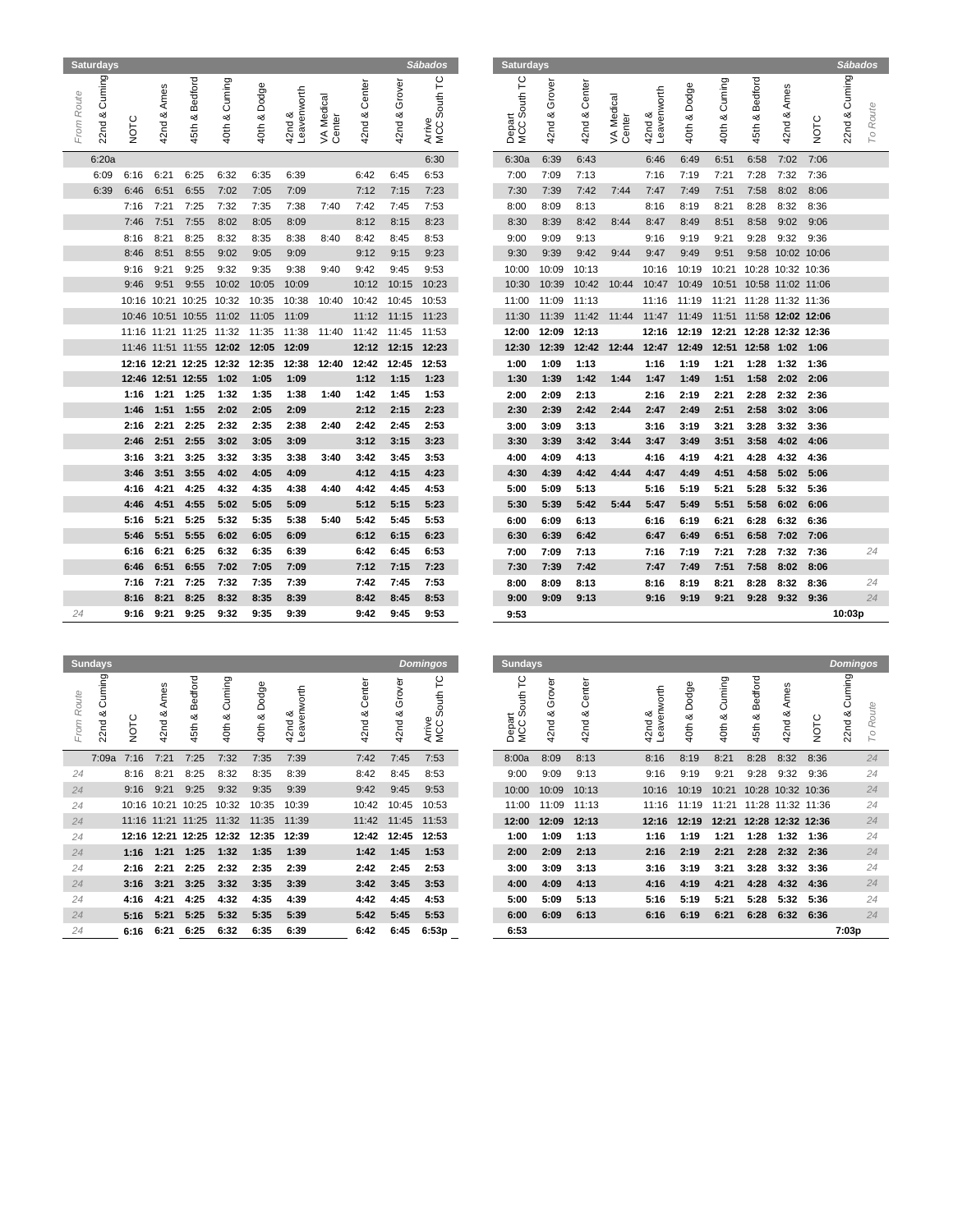|                | <b>Saturdays</b>             |      |                |                      |                  |                   |                          |                      |                                 |               | Sábados                                | <b>Saturdays</b>                         |                     |               |                      |                       |                 |                         |                         |                               |             | <b>Sábados</b> |          |
|----------------|------------------------------|------|----------------|----------------------|------------------|-------------------|--------------------------|----------------------|---------------------------------|---------------|----------------------------------------|------------------------------------------|---------------------|---------------|----------------------|-----------------------|-----------------|-------------------------|-------------------------|-------------------------------|-------------|----------------|----------|
| From Route     | & Cuming<br>22 <sub>nd</sub> | NOTC | Ames<br>42nd & | Bedford<br>య<br>45th | Cuming<br>40th & | Dodge<br>40th & 8 | Leavenworth<br>య<br>42nd | VA Medical<br>Center | Center<br>య<br>42 <sub>nd</sub> | 42nd & Grover | South TC<br>Arrive<br>MCC <sub>S</sub> | South TC<br>Depart<br>MCC S <sub>1</sub> | Grover<br>ಯ<br>42nd | 42nd & Center | VA Medical<br>Center | 42nd &<br>Leavenworth | Dodge<br>40th & | Cuming<br>య<br>40th     | Bedford<br>∞<br>45th    | Ames<br>య<br>42 <sub>nd</sub> | NOTC        | 22nd & Cuming  | To Route |
|                | 6:20a                        |      |                |                      |                  |                   |                          |                      |                                 |               | 6:30                                   | 6:30a                                    | 6:39                | 6:43          |                      | 6:46                  | 6:49            | 6:51                    | 6:58                    | 7:02                          | 7:06        |                |          |
|                | 6:09                         | 6:16 | 6:21           | 6:25                 | 6:32             | 6:35              | 6:39                     |                      | 6:42                            | 6:45          | 6:53                                   | 7:00                                     | 7:09                | 7:13          |                      | 7:16                  | 7:19            | 7:21                    | 7:28                    | 7:32                          | 7:36        |                |          |
|                | 6:39                         | 6:46 | 6:51           | 6:55                 | 7:02             | 7:05              | 7:09                     |                      | 7:12                            | 7:15          | 7:23                                   | 7:30                                     | 7:39                | 7:42          | 7:44                 | 7:47                  | 7:49            | 7:51                    | 7:58                    | 8:02                          | 8:06        |                |          |
|                |                              | 7:16 | 7:21           | 7:25                 | 7:32             | 7:35              | 7:38                     | 7:40                 | 7:42                            | 7:45          | 7:53                                   | 8:00                                     | 8:09                | 8:13          |                      | 8:16                  | 8:19            | 8:21                    | 8:28                    | 8:32                          | 8:36        |                |          |
|                |                              | 7:46 | 7:51           | 7:55                 | 8:02             | 8:05              | 8:09                     |                      | 8:12                            | 8:15          | 8:23                                   | 8:30                                     | 8:39                | 8:42          | 8:44                 | 8:47                  | 8:49            | 8:51                    | 8:58                    | 9:02                          | 9:06        |                |          |
|                |                              | 8:16 | 8:21           | 8:25                 | 8:32             | 8:35              | 8:38                     | 8:40                 | 8:42                            | 8:45          | 8:53                                   | 9:00                                     | 9:09                | 9:13          |                      | 9:16                  | 9:19            | 9:21                    | 9:28                    | 9:32                          | 9:36        |                |          |
|                |                              | 8:46 | 8:51           | 8:55                 | 9:02             | 9:05              | 9:09                     |                      | 9:12                            | 9:15          | 9:23                                   | 9:30                                     | 9:39                | 9:42          | 9:44                 | 9:47                  | 9:49            | 9:51                    | 9:58                    |                               | 10:02 10:06 |                |          |
|                |                              | 9:16 | 9:21           | 9:25                 | 9:32             | 9:35              | 9:38                     | 9:40                 | 9:42                            | 9:45          | 9:53                                   | 10:00                                    | 10:09               | 10:13         |                      | 10:16                 | 10:19           | 10:21                   | 10:28 10:32 10:36       |                               |             |                |          |
|                |                              | 9:46 | 9:51           | 9:55                 | 10:02            | 10:05             | 10:09                    |                      | 10:12                           | 10:15         | 10:23                                  | 10:30                                    | 10:39               | 10:42         | 10:44                | 10:47                 | 10:49           | 10:51                   | 10:58 11:02 11:06       |                               |             |                |          |
|                |                              |      |                | 10:16 10:21 10:25    | 10:32            | 10:35             | 10:38                    | 10:40                | 10:42                           | 10:45         | 10:53                                  | 11:00                                    | 11:09               | 11:13         |                      | 11:16                 | 11:19           | 11:21 11:28 11:32 11:36 |                         |                               |             |                |          |
|                |                              |      |                | 10:46 10:51 10:55    | 11:02            | 11:05             | 11:09                    |                      |                                 | 11:12 11:15   | 11:23                                  | 11:30                                    | 11:39               | 11:42         | 11:44 11:47          |                       | 11:49           |                         | 11:51 11:58 12:02 12:06 |                               |             |                |          |
|                |                              |      |                | 11:16 11:21 11:25    | 11:32            | 11:35             | 11:38                    | 11:40                | 11:42                           | 11:45         | 11:53                                  | 12:00                                    | 12:09               | 12:13         |                      | 12:16                 | 12:19           | 12:21                   | 12:28 12:32 12:36       |                               |             |                |          |
|                |                              |      |                | 11:46 11:51 11:55    | 12:02            | 12:05             | 12:09                    |                      | 12:12                           | 12:15         | 12:23                                  | 12:30                                    | 12:39               | 12:42         | 12:44                | 12:47                 | 12:49           | 12:51                   | 12:58 1:02              |                               | 1:06        |                |          |
|                |                              |      |                | 12:16 12:21 12:25    | 12:32            | 12:35             | 12:38                    | 12:40                | 12:42                           | 12:45         | 12:53                                  | 1:00                                     | 1:09                | 1:13          |                      | 1:16                  | 1:19            | 1:21                    | 1:28                    | 1:32                          | 1:36        |                |          |
|                |                              |      |                | 12:46 12:51 12:55    | 1:02             | 1:05              | 1:09                     |                      | 1:12                            | 1:15          | 1:23                                   | 1:30                                     | 1:39                | 1:42          | 1:44                 | 1:47                  | 1:49            | 1:51                    | 1:58                    | 2:02                          | 2:06        |                |          |
|                |                              | 1:16 | 1:21           | 1:25                 | 1:32             | 1:35              | 1:38                     | 1:40                 | 1:42                            | 1:45          | 1:53                                   | 2:00                                     | 2:09                | 2:13          |                      | 2:16                  | 2:19            | 2:21                    | 2:28                    | 2:32                          | 2:36        |                |          |
|                |                              | 1:46 | 1:51           | 1:55                 | 2:02             | 2:05              | 2:09                     |                      | 2:12                            | 2:15          | 2:23                                   | 2:30                                     | 2:39                | 2:42          | 2:44                 | 2:47                  | 2:49            | 2:51                    | 2:58                    | 3:02                          | 3:06        |                |          |
|                |                              | 2:16 | 2:21           | 2:25                 | 2:32             | 2:35              | 2:38                     | 2:40                 | 2:42                            | 2:45          | 2:53                                   | 3:00                                     | 3:09                | 3:13          |                      | 3:16                  | 3:19            | 3:21                    | 3:28                    | 3:32                          | 3:36        |                |          |
|                |                              | 2:46 | 2:51           | 2:55                 | 3:02             | 3:05              | 3:09                     |                      | 3:12                            | 3:15          | 3:23                                   | 3:30                                     | 3:39                | 3:42          | 3:44                 | 3:47                  | 3:49            | 3:51                    | 3:58                    | 4:02                          | 4:06        |                |          |
|                |                              | 3:16 | 3:21           | 3:25                 | 3:32             | 3:35              | 3:38                     | 3:40                 | 3:42                            | 3:45          | 3:53                                   | 4:00                                     | 4:09                | 4:13          |                      | 4:16                  | 4:19            | 4:21                    | 4:28                    | 4:32                          | 4:36        |                |          |
|                |                              | 3:46 | 3:51           | 3:55                 | 4:02             | 4:05              | 4:09                     |                      | 4:12                            | 4:15          | 4:23                                   | 4:30                                     | 4:39                | 4:42          | 4:44                 | 4:47                  | 4:49            | 4:51                    | 4:58                    | 5:02                          | 5:06        |                |          |
|                |                              | 4:16 | 4:21           | 4:25                 | 4:32             | 4:35              | 4:38                     | 4:40                 | 4:42                            | 4:45          | 4:53                                   | 5:00                                     | 5:09                | 5:13          |                      | 5:16                  | 5:19            | 5:21                    | 5:28                    | 5:32                          | 5:36        |                |          |
|                |                              | 4:46 | 4:51           | 4:55                 | 5:02             | 5:05              | 5:09                     |                      | 5:12                            | 5:15          | 5:23                                   | 5:30                                     | 5:39                | 5:42          | 5:44                 | 5:47                  | 5:49            | 5:51                    | 5:58                    | 6:02                          | 6:06        |                |          |
|                |                              | 5:16 | 5:21           | 5:25                 | 5:32             | 5:35              | 5:38                     | 5:40                 | 5:42                            | 5:45          | 5:53                                   | 6:00                                     | 6:09                | 6:13          |                      | 6:16                  | 6:19            | 6:21                    | 6:28                    | 6:32                          | 6:36        |                |          |
|                |                              | 5:46 | 5:51           | 5:55                 | 6:02             | 6:05              | 6:09                     |                      | 6:12                            | 6:15          | 6:23                                   | 6:30                                     | 6:39                | 6:42          |                      | 6:47                  | 6:49            | 6:51                    | 6:58                    | 7:02                          | 7:06        |                |          |
|                |                              | 6:16 | 6:21           | 6:25                 | 6:32             | 6:35              | 6:39                     |                      | 6:42                            | 6:45          | 6:53                                   | 7:00                                     | 7:09                | 7:13          |                      | 7:16                  | 7:19            | 7:21                    | 7:28                    | 7:32                          | 7:36        |                | 24       |
|                |                              | 6:46 | 6:51           | 6:55                 | 7:02             | 7:05              | 7:09                     |                      | 7:12                            | 7:15          | 7:23                                   | 7:30                                     | 7:39                | 7:42          |                      | 7:47                  | 7:49            | 7:51                    | 7:58                    | 8:02                          | 8:06        |                |          |
|                |                              | 7:16 | 7:21           | 7:25                 | 7:32             | 7:35              | 7:39                     |                      | 7:42                            | 7:45          | 7:53                                   | 8:00                                     | 8:09                | 8:13          |                      | 8:16                  | 8:19            | 8:21                    | 8:28                    | 8:32                          | 8:36        |                | 24       |
|                |                              | 8:16 | 8:21           | 8:25                 | 8:32             | 8:35              | 8:39                     |                      | 8:42                            | 8:45          | 8:53                                   | 9:00                                     | 9:09                | 9:13          |                      | 9:16                  | 9:19            | 9:21                    | 9:28                    | 9:32                          | 9:36        |                | 24       |
| 24             |                              | 9:16 | 9:21           | 9:25                 | 9:32             | 9:35              | 9:39                     |                      | 9:42                            | 9:45          | 9:53                                   | 9:53                                     |                     |               |                      |                       |                 |                         |                         |                               |             | 10:03p         |          |
| <b>Sundavs</b> |                              |      |                |                      |                  |                   |                          |                      |                                 |               | <b>Domingos</b>                        | Sundays                                  |                     |               |                      |                       |                 |                         |                         |                               |             | Dominans       |          |

|            | 6:20a          |                 |        |                   |                               |              |                     |       |                 |             | 6:30                       |
|------------|----------------|-----------------|--------|-------------------|-------------------------------|--------------|---------------------|-------|-----------------|-------------|----------------------------|
|            | 6:09           | 6:16            | 6:21   | 6:25              | 6:32                          | 6:35         | 6:39                |       | 6:42            | 6:45        | 6:53                       |
|            | 6:39           | 6:46            | 6:51   | 6:55              | 7:02                          | 7:05         | 7:09                |       | 7:12            | 7:15        | 7:23                       |
|            |                | 7:16            | 7:21   | 7:25              | 7:32                          | 7:35         | 7:38                | 7:40  | 7:42            | 7:45        | 7:53                       |
|            |                | 7:46            | 7:51   | 7:55              | 8:02                          | 8:05         | 8:09                |       | 8:12            | 8:15        | 8:23                       |
|            |                | 8:16            | 8:21   | 8:25              | 8:32                          | 8:35         | 8:38                | 8:40  | 8:42            | 8:45        | 8:53                       |
|            |                | 8:46            | 8:51   | 8:55              | 9:02                          | 9:05         | 9:09                |       | 9:12            | 9:15        | 9:23                       |
|            |                | 9:16            | 9:21   | 9:25              | 9:32                          | 9:35         | 9:38                | 9:40  | 9:42            | 9:45        | 9:53                       |
|            |                | 9:46            | 9:51   | 9:55              | 10:02                         | 10:05        | 10:09               |       | 10:12           | 10:15       | 10:23                      |
|            |                | 10:16           | 10:21  | 10:25             | 10:32                         | 10:35        | 10:38               | 10:40 | 10:42           | 10:45       | 10:53                      |
|            |                |                 |        | 10:46 10:51 10:55 | 11:02                         | 11:05        | 11:09               |       | 11:12           | 11:15       | 11:23                      |
|            |                |                 |        |                   | 11:16 11:21 11:25 11:32       | 11:35        | 11:38               | 11:40 | 11:42           | 11:45       | 11:53                      |
|            |                |                 |        |                   | 11:46 11:51 11:55 12:02 12:05 |              | 12:09               |       |                 | 12:12 12:15 | 12:23                      |
|            |                |                 |        | 12:16 12:21 12:25 | 12:32                         | 12:35        | 12:38               | 12:40 | 12:42           | 12:45       | 12:53                      |
|            |                |                 |        | 12:46 12:51 12:55 | 1:02                          | 1:05         | 1:09                |       | 1:12            | 1:15        | 1:23                       |
|            |                | 1:16            | 1:21   | 1:25              | 1:32                          | 1:35         | 1:38                | 1:40  | 1:42            | 1:45        | 1:53                       |
|            |                | 1:46            | 1:51   | 1:55              | 2:02                          | 2:05         | 2:09                |       | 2:12            | 2:15        | 2:23                       |
|            |                | 2:16            | 2:21   | 2:25              | 2:32                          | 2:35         | 2:38                | 2:40  | 2:42            | 2:45        | 2:53                       |
|            |                | 2:46            | 2:51   | 2:55              | 3:02                          | 3:05         | 3:09                |       | 3:12            | 3:15        | 3:23                       |
|            |                | 3:16            | 3:21   | 3:25              | 3:32                          | 3:35         | 3:38                | 3:40  | 3:42            | 3:45        | 3:53                       |
|            |                | 3:46            | 3:51   | 3:55              | 4:02                          | 4:05         | 4:09                |       | 4:12            | 4:15        | 4:23                       |
|            |                | 4:16            | 4:21   | 4:25              | 4:32                          | 4:35         | 4:38                | 4:40  | 4:42            | 4:45        | 4:53                       |
|            |                | 4:46            | 4:51   | 4:55              | 5:02                          | 5:05         | 5:09                |       | 5:12            | 5:15        | 5:23                       |
|            |                | 5:16            | 5:21   | 5:25              | 5:32                          | 5:35         | 5:38                | 5:40  | 5:42            | 5:45        | 5:53                       |
|            |                | 5:46            | 5:51   | 5:55              | 6:02                          | 6:05         | 6:09                |       | 6:12            | 6:15        | 6:23                       |
|            |                | 6:16            | 6:21   | 6:25              | 6:32                          | 6:35         | 6:39                |       | 6:42            | 6:45        | 6:53                       |
|            |                | 6:46            | 6:51   | 6:55              | 7:02                          | 7:05         | 7:09                |       | 7:12            | 7:15        | 7:23                       |
|            |                | 7:16            | 7:21   | 7:25              | 7:32                          | 7:35         | 7:39                |       | 7:42            | 7:45        | 7:53                       |
|            |                | 8:16            | 8:21   | 8:25              | 8:32                          | 8:35         | 8:39                |       | 8:42            | 8:45        | 8:53                       |
| 24         |                | 9:16            | 9:21   | 9:25              | 9:32                          | 9:35         | 9:39                |       | 9:42            | 9:45        | 9:53                       |
|            |                |                 |        |                   |                               |              |                     |       |                 |             |                            |
|            |                |                 |        |                   |                               |              |                     |       |                 |             |                            |
|            | <b>Sundays</b> |                 |        |                   |                               |              |                     |       |                 |             | Domingos                   |
|            | Cuming         |                 |        |                   |                               |              |                     |       |                 |             | P                          |
|            |                |                 | Ames   |                   |                               |              |                     |       |                 | Grover      | South                      |
|            | య              |                 |        |                   |                               |              | య                   |       |                 | య           |                            |
| From Route | 22nd           | NOTC            | 42nd & | 45th & Bedford    | 40th & Cuming                 | 40th & Dodge | Leavenworth<br>42nd |       | 42nd & Center   | 42nd        | Arrive<br>MCC <sub>S</sub> |
|            |                |                 |        |                   |                               |              |                     |       |                 |             |                            |
|            | 7:09a          | 7:16            | 7:21   | 7:25              | 7:32                          | 7:35         | 7:39                |       | 7:42            | 7:45        | 7:53                       |
| 24         |                | 8:16            | 8:21   | 8:25              | 8:32                          | 8:35         | 8:39                |       | 8:42            | 8:45        | 8:53                       |
| 24         |                | 9:16            | 9:21   | 9:25              | 9:32                          | 9:35         | 9:39                |       | 9:42            | 9:45        | 9:53                       |
|            |                | $\overline{10}$ | 10.01  | 1000              | 10.00                         |              |                     |       | $\overline{10}$ | 10.15       |                            |

| uming<br>Route<br>Ō<br>ంర<br>22 <sub>nd</sub><br>From | NOTC | ဖ<br>Ame:<br>య<br>42nd | edford<br>മ<br>య<br>45th | Cuming<br>ంర<br>40th | Dodge<br>య<br>40th                           | orth<br>₹<br>aven<br>య<br>42nd<br>ு | Center<br>య<br>42 <sub>nd</sub> | ৯<br>Ğrov<br>య<br>42 <sub>nd</sub> | p<br>ŧ<br>$\circ$<br>Arrive<br>MCC <sub>S</sub> | ٢<br>ŧ | rover<br>O<br>ంర<br>42 <sub>nd</sub>                                                                                  | enter<br>O<br>య<br>42 <sub>nd</sub> | th | Dodge<br>య<br>40th                                                                                            | Cuming<br>య<br>40th | Bedford<br>య<br>45th | Ames<br>ంర<br>42 <sub>nd</sub> | NOTC | Cuming<br>య<br>22 <sub>nd</sub>                                   |
|-------------------------------------------------------|------|------------------------|--------------------------|----------------------|----------------------------------------------|-------------------------------------|---------------------------------|------------------------------------|-------------------------------------------------|--------|-----------------------------------------------------------------------------------------------------------------------|-------------------------------------|----|---------------------------------------------------------------------------------------------------------------|---------------------|----------------------|--------------------------------|------|-------------------------------------------------------------------|
|                                                       | 7:16 | 7:21                   | 7:25                     | 7:32                 | 7:35                                         | 7:39                                | 7:42                            | 7:45                               | 7:53                                            |        | 8:09                                                                                                                  | 8:13                                |    | 8:19                                                                                                          | 8:21                | 8:28                 | 8:32                           | 8:36 |                                                                   |
| 24                                                    | 8:16 | 8:21                   | 8:25                     | 8:32                 | 8:35                                         | 8:39                                | 8:42                            | 8:45                               | 8:53                                            |        | 9:09                                                                                                                  | 9:13                                |    | 9:19                                                                                                          | 9:21                | 9:28                 | 9:32                           | 9:36 |                                                                   |
| 24                                                    | 9:16 | 9:21                   | 9:25                     | 9:32                 | 9:35                                         | 9:39                                | 9:42                            | 9:45                               | 9:53                                            |        | 10:09                                                                                                                 | 10:13                               |    | 10:19                                                                                                         | 10:21               |                      |                                |      |                                                                   |
| 24                                                    |      |                        | 10:25                    | 10:32                | 10:35                                        | 10:39                               |                                 | 10:45                              | 10:53                                           |        | 11:09                                                                                                                 | 11:13                               |    | 11:19                                                                                                         | 11:21               |                      |                                |      |                                                                   |
| 24                                                    |      |                        |                          |                      | 11:35                                        | 11:39                               |                                 | 11:45                              | 11:53                                           |        | 12:09                                                                                                                 | 12:13                               |    | 12:19                                                                                                         |                     |                      |                                |      |                                                                   |
| 24                                                    |      |                        |                          | 12:32                | 12:35                                        | 12:39                               |                                 | 12:45                              | 12:53                                           |        | 1:09                                                                                                                  | 1:13                                |    | 1:19                                                                                                          | 1:21                | 1:28                 | 1:32                           | 1:36 |                                                                   |
| 24                                                    | 1:16 | 1:21                   | 1:25                     | 1:32                 | 1:35                                         | 1:39                                | 1:42                            | 1:45                               | 1:53                                            |        | 2:09                                                                                                                  | 2:13                                |    | 2:19                                                                                                          | 2:21                | 2:28                 | 2:32                           | 2:36 |                                                                   |
| 24                                                    | 2:16 | 2:21                   | 2:25                     | 2:32                 | 2:35                                         | 2:39                                | 2:42                            | 2:45                               | 2:53                                            |        | 3:09                                                                                                                  | 3:13                                |    | 3:19                                                                                                          | 3:21                | 3:28                 | 3:32                           | 3:36 |                                                                   |
| 24                                                    | 3:16 | 3:21                   | 3:25                     | 3:32                 | 3:35                                         | 3:39                                | 3:42                            | 3:45                               | 3:53                                            |        | 4:09                                                                                                                  | 4:13                                |    | 4:19                                                                                                          | 4:21                | 4:28                 | 4:32                           | 4:36 |                                                                   |
| 24                                                    | 4:16 | 4:21                   | 4:25                     | 4:32                 | 4:35                                         | 4:39                                | 4:42                            | 4:45                               | 4:53                                            |        | 5:09                                                                                                                  | 5:13                                |    | 5:19                                                                                                          | 5:21                | 5:28                 | 5:32                           | 5:36 |                                                                   |
| 24                                                    | 5:16 | 5:21                   | 5:25                     | 5:32                 | 5:35                                         | 5:39                                | 5:42                            | 5:45                               | 5:53                                            |        | 6:09                                                                                                                  | 6:13                                |    | 6:19                                                                                                          | 6:21                | 6:28                 | 6:32                           | 6:36 |                                                                   |
| 24                                                    | 6:16 | 6:21                   | 6:25                     | 6:32                 | 6:35                                         | 6:39                                | 6:42                            | 6:45                               | 6:53p                                           |        |                                                                                                                       |                                     |    |                                                                                                               |                     |                      |                                |      | 7:03p                                                             |
|                                                       |      | 7:09a                  |                          | 10:16 10:21          | 11:16 11:21 11:25 11:32<br>12:16 12:21 12:25 |                                     |                                 | 10:42<br>11:42<br>12:42            |                                                 |        | Depart<br>MCC Sou<br>8:00a<br>9:00<br>10:00<br>11:00<br>12:00<br>1:00<br>2:00<br>3:00<br>4:00<br>5:00<br>6:00<br>6:53 |                                     |    | 42nd &<br>Leavenwo<br>8:16<br>9:16<br>10:16<br>11:16<br>12:16<br>1:16<br>2:16<br>3:16<br>4:16<br>5:16<br>6:16 |                     |                      |                                |      | 10:28 10:32 10:36<br>11:28 11:32 11:36<br>12:21 12:28 12:32 12:36 |

|               | sundays              |       |                       |                      |                         |                                |                               |                     |                         | Domingos                       | sundays               |                                     |                               |                       |       |                    |                  |                         |                    |      | Domingos               |          |
|---------------|----------------------|-------|-----------------------|----------------------|-------------------------|--------------------------------|-------------------------------|---------------------|-------------------------|--------------------------------|-----------------------|-------------------------------------|-------------------------------|-----------------------|-------|--------------------|------------------|-------------------------|--------------------|------|------------------------|----------|
| Route<br>From | Cuming<br>ంర<br>22nd | NOTC  | mes<br>⋖<br>య<br>42nd | Bedford<br>య<br>45th | Cuming<br>య<br>40th     | Φ<br>-ඉ<br>Ō<br>ă<br>య<br>40th | orth<br>š<br>42nd &<br>Leaven | Center<br>య<br>42nd | rover<br>O<br>య<br>42nd | p<br>t<br>Ō<br>Arrive<br>MCC 5 | ٢<br>Depart<br>MCC So | Ф<br>Grov<br>ంర<br>42 <sub>nd</sub> | ntei<br>య<br>42 <sub>nd</sub> | 42nd &<br>Leavenworth |       | Dodge<br>œ<br>40th | Cuming<br>40th & | Bedford<br>ంర<br>45th   | Ames<br>ంర<br>42nd | NOTC | ming<br>ā<br>య<br>22nd | To Route |
|               | 7:09a                | 7:16  | 7:21                  | 7:25                 | 7:32                    | 7:35                           | 7:39                          | 7:42                | 7:45                    | 7:53                           | 8:00a                 | 8:09                                | 8:13                          | 8:16                  |       | 8:19               | 8:21             | 8:28                    | 8:32               | 8:36 |                        | 24       |
| 24            |                      | 8:16  | 8:21                  | 8:25                 | 8:32                    | 8:35                           | 8:39                          | 8:42                | 8:45                    | 8:53                           | 9:00                  | 9:09                                | 9:13                          | 9:16                  |       | 9:19               | 9:21             | 9:28                    | 9:32               | 9:36 |                        | 24       |
| 24            |                      | 9:16  | 9:21                  | 9:25                 | 9:32                    | 9:35                           | 9:39                          | 9:42                | 9:45                    | 9:53                           | 10:00                 | 10:09                               | 10:13                         |                       | 10:16 | 10:19              | 10:21            | 10:28 10:32 10:36       |                    |      |                        | 24       |
| 24            |                      | 10:16 | 10:21                 | 10:25                | 10:32                   | 10:35                          | 10:39                         | 10:42               | 10:45                   | 10:53                          | 11:00                 | 11:09                               | 11:13                         |                       | 11:16 | 11:19              | 11:21            | 11:28 11:32 11:36       |                    |      |                        | 24       |
| 24            |                      |       |                       |                      | 11:16 11:21 11:25 11:32 | 11:35                          | 11:39                         |                     | 11:42 11:45             | 11:53                          | 12:00                 | 12:09                               | 12:13                         |                       | 12:16 | 12:19              |                  | 12:21 12:28 12:32 12:36 |                    |      |                        | 24       |
| 24            |                      |       |                       |                      | 12:16 12:21 12:25 12:32 | 12:35                          | 12:39                         | 12:42               | 12:45                   | 12:53                          | 1:00                  | 1:09                                | 1:13                          |                       | 1:16  | 1:19               | 1:21             | 1:28                    | 1:32               | 1:36 |                        | 24       |
| 24            |                      | 1:16  | 1:21                  | 1:25                 | 1:32                    | 1:35                           | 1:39                          | 1:42                | 1:45                    | 1:53                           | 2:00                  | 2:09                                | 2:13                          |                       | 2:16  | 2:19               | 2:21             | 2:28                    | 2:32               | 2:36 |                        | 24       |
| 24            |                      | 2:16  | 2:21                  | 2:25                 | 2:32                    | 2:35                           | 2:39                          | 2:42                | 2:45                    | 2:53                           | 3:00                  | 3:09                                | 3:13                          | 3:16                  |       | 3:19               | 3:21             | 3:28                    | 3:32               | 3:36 |                        | 24       |
| 24            |                      | 3:16  | 3:21                  | 3:25                 | 3:32                    | 3:35                           | 3:39                          | 3:42                | 3:45                    | 3:53                           | 4:00                  | 4:09                                | 4:13                          | 4:16                  |       | 4:19               | 4:21             | 4:28                    | 4:32 4:36          |      |                        | 24       |
| 24            |                      | 4:16  | 4:21                  | 4:25                 | 4:32                    | 4:35                           | 4:39                          | 4:42                | 4:45                    | 4:53                           | 5:00                  | 5:09                                | 5:13                          |                       | 5:16  | 5:19               | 5:21             | 5:28                    | 5:32 5:36          |      |                        | 24       |
| 24            |                      | 5:16  | 5:21                  | 5:25                 | 5:32                    | 5:35                           | 5:39                          | 5:42                | 5:45                    | 5:53                           | 6:00                  | 6:09                                | 6:13                          |                       | 6:16  | 6:19               | 6:21             | 6:28                    | 6:32 6:36          |      |                        | 24       |
| つイ            |                      | C.4C  |                       | $6.21$ $6.25$        | 6.22                    | 6.25                           | 6.20                          | 6.12                | 6.15                    | 6.52n                          | 6-52                  |                                     |                               |                       |       |                    |                  |                         |                    |      | 7.02n                  |          |